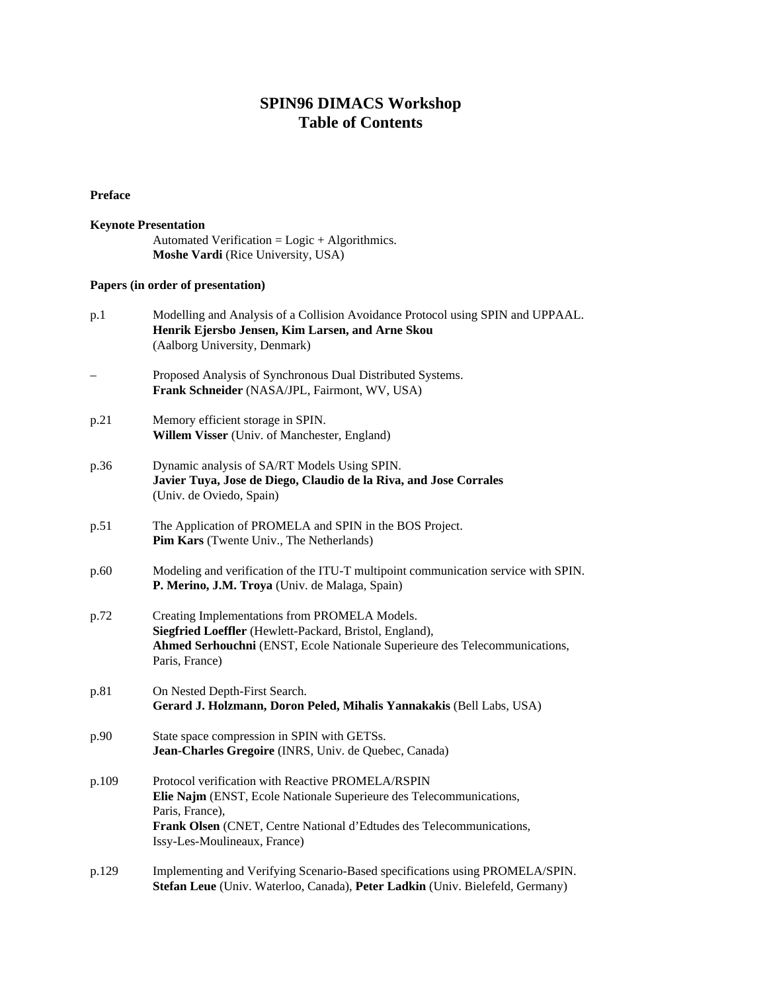## **SPIN96 DIMACS Workshop Table of Contents**

## **Preface**

## **Keynote Presentation** Automated Verification = Logic + Algorithmics. **Moshe Vardi** (Rice University, USA)

## **Papers (in order of presentation)**

| p.1   | Modelling and Analysis of a Collision Avoidance Protocol using SPIN and UPPAAL.<br>Henrik Ejersbo Jensen, Kim Larsen, and Arne Skou<br>(Aalborg University, Denmark)                                                                                |
|-------|-----------------------------------------------------------------------------------------------------------------------------------------------------------------------------------------------------------------------------------------------------|
|       | Proposed Analysis of Synchronous Dual Distributed Systems.<br>Frank Schneider (NASA/JPL, Fairmont, WV, USA)                                                                                                                                         |
| p.21  | Memory efficient storage in SPIN.<br>Willem Visser (Univ. of Manchester, England)                                                                                                                                                                   |
| p.36  | Dynamic analysis of SA/RT Models Using SPIN.<br>Javier Tuya, Jose de Diego, Claudio de la Riva, and Jose Corrales<br>(Univ. de Oviedo, Spain)                                                                                                       |
| p.51  | The Application of PROMELA and SPIN in the BOS Project.<br>Pim Kars (Twente Univ., The Netherlands)                                                                                                                                                 |
| p.60  | Modeling and verification of the ITU-T multipoint communication service with SPIN.<br>P. Merino, J.M. Troya (Univ. de Malaga, Spain)                                                                                                                |
| p.72  | Creating Implementations from PROMELA Models.<br>Siegfried Loeffler (Hewlett-Packard, Bristol, England),<br>Ahmed Serhouchni (ENST, Ecole Nationale Superieure des Telecommunications,<br>Paris, France)                                            |
| p.81  | On Nested Depth-First Search.<br>Gerard J. Holzmann, Doron Peled, Mihalis Yannakakis (Bell Labs, USA)                                                                                                                                               |
| p.90  | State space compression in SPIN with GETSs.<br>Jean-Charles Gregoire (INRS, Univ. de Quebec, Canada)                                                                                                                                                |
| p.109 | Protocol verification with Reactive PROMELA/RSPIN<br>Elie Najm (ENST, Ecole Nationale Superieure des Telecommunications,<br>Paris, France),<br>Frank Olsen (CNET, Centre National d'Edtudes des Telecommunications,<br>Issy-Les-Moulineaux, France) |
| p.129 | Implementing and Verifying Scenario-Based specifications using PROMELA/SPIN.<br>Stefan Leue (Univ. Waterloo, Canada), Peter Ladkin (Univ. Bielefeld, Germany)                                                                                       |